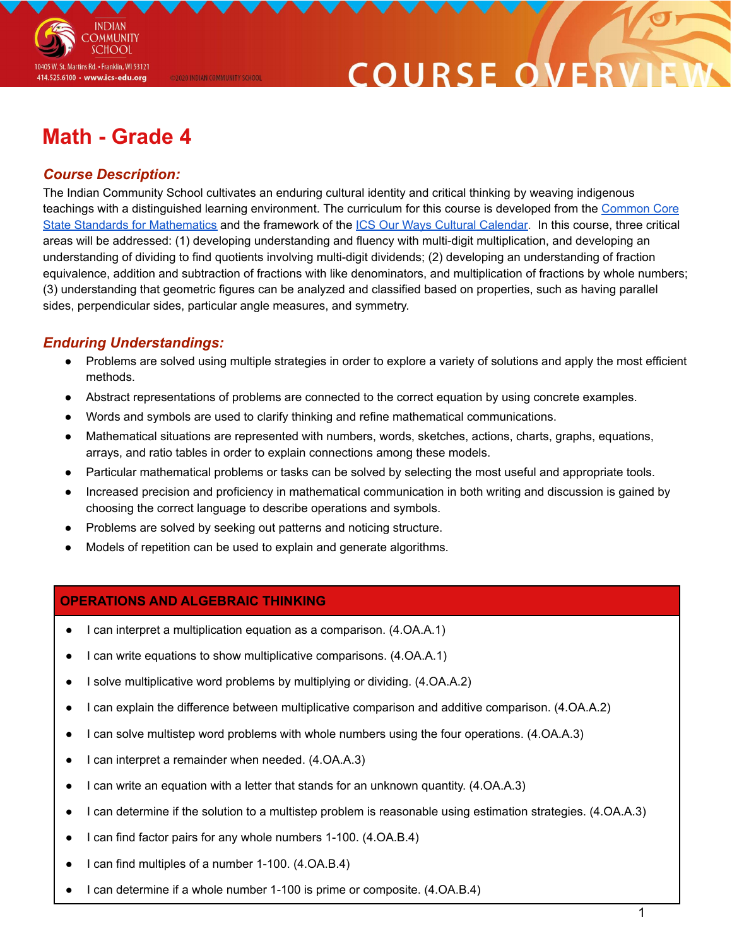

### **COURSE O**

### **Math - Grade 4**

@2020 INDIAN COMMUNITY SCHOOL

#### *Course Description:*

The Indian Community School cultivates an enduring cultural identity and critical thinking by weaving indigenous teachings with a distinguished learning environment. The curriculum for this course is developed from the [Common](http://www.corestandards.org/Math/) Core State Standards for [Mathematics](http://www.corestandards.org/Math/) and the framework of the ICS Our Ways Cultural [Calendar.](https://drive.google.com/open?id=0B7pONXiRIufTT3VHOXBBeG9USHMzbDNIUi1nV0NTbURCMFRZ) In this course, three critical areas will be addressed: (1) developing understanding and fluency with multi-digit multiplication, and developing an understanding of dividing to find quotients involving multi-digit dividends; (2) developing an understanding of fraction equivalence, addition and subtraction of fractions with like denominators, and multiplication of fractions by whole numbers; (3) understanding that geometric figures can be analyzed and classified based on properties, such as having parallel sides, perpendicular sides, particular angle measures, and symmetry.

#### *Enduring Understandings:*

- Problems are solved using multiple strategies in order to explore a variety of solutions and apply the most efficient methods.
- Abstract representations of problems are connected to the correct equation by using concrete examples.
- Words and symbols are used to clarify thinking and refine mathematical communications.
- Mathematical situations are represented with numbers, words, sketches, actions, charts, graphs, equations, arrays, and ratio tables in order to explain connections among these models.
- Particular mathematical problems or tasks can be solved by selecting the most useful and appropriate tools.
- Increased precision and proficiency in mathematical communication in both writing and discussion is gained by choosing the correct language to describe operations and symbols.
- Problems are solved by seeking out patterns and noticing structure.
- Models of repetition can be used to explain and generate algorithms.

#### **OPERATIONS AND ALGEBRAIC THINKING**

- I can interpret a multiplication equation as a comparison. (4.OA.A.1)
- I can write equations to show multiplicative comparisons. (4.OA.A.1)
- I solve multiplicative word problems by multiplying or dividing. (4.OA.A.2)
- I can explain the difference between multiplicative comparison and additive comparison. (4.OA.A.2)
- I can solve multistep word problems with whole numbers using the four operations. (4.OA.A.3)
- I can interpret a remainder when needed. (4.OA.A.3)
- I can write an equation with a letter that stands for an unknown quantity. (4.OA.A.3)
- I can determine if the solution to a multistep problem is reasonable using estimation strategies. (4.OA.A.3)
- I can find factor pairs for any whole numbers 1-100. (4.OA.B.4)
- I can find multiples of a number 1-100. (4.OA.B.4)
- I can determine if a whole number 1-100 is prime or composite. (4.OA.B.4)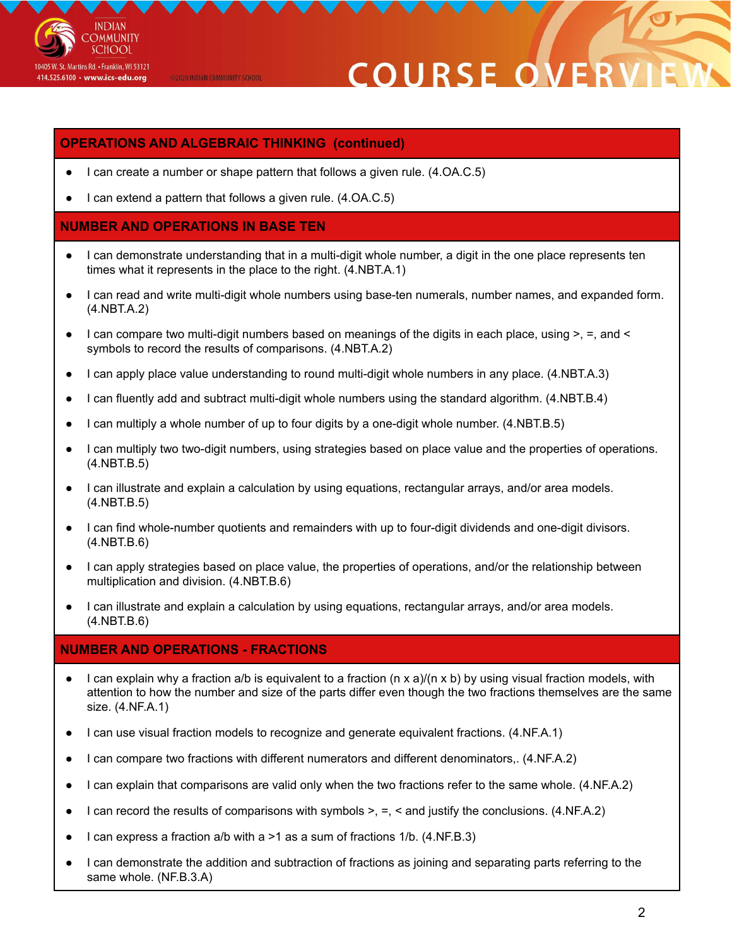

@2020 INDIAN COMMUNITY SCHOOL

## COURSE O

#### **OPERATIONS AND ALGEBRAIC THINKING (continued)**

- I can create a number or shape pattern that follows a given rule.  $(4.OA.C.5)$
- I can extend a pattern that follows a given rule.  $(4.OA.C.5)$

#### **NUMBER AND OPERATIONS IN BASE TEN**

- I can demonstrate understanding that in a multi-digit whole number, a digit in the one place represents ten times what it represents in the place to the right. (4.NBT.A.1)
- I can read and write multi-digit whole numbers using base-ten numerals, number names, and expanded form. (4.NBT.A.2)
- I can compare two multi-digit numbers based on meanings of the digits in each place, using >, =, and < symbols to record the results of comparisons. (4.NBT.A.2)
- I can apply place value understanding to round multi-digit whole numbers in any place. (4.NBT.A.3)
- I can fluently add and subtract multi-digit whole numbers using the standard algorithm. (4.NBT.B.4)
- I can multiply a whole number of up to four digits by a one-digit whole number. (4.NBT.B.5)
- I can multiply two two-digit numbers, using strategies based on place value and the properties of operations. (4.NBT.B.5)
- I can illustrate and explain a calculation by using equations, rectangular arrays, and/or area models. (4.NBT.B.5)
- I can find whole-number quotients and remainders with up to four-digit dividends and one-digit divisors. (4.NBT.B.6)
- I can apply strategies based on place value, the properties of operations, and/or the relationship between multiplication and division. (4.NBT.B.6)
- I can illustrate and explain a calculation by using equations, rectangular arrays, and/or area models. (4.NBT.B.6)

#### **NUMBER AND OPERATIONS - FRACTIONS**

- I can explain why a fraction a/b is equivalent to a fraction (n x a)/(n x b) by using visual fraction models, with attention to how the number and size of the parts differ even though the two fractions themselves are the same size. (4.NF.A.1)
- I can use visual fraction models to recognize and generate equivalent fractions. (4.NF.A.1)
- I can compare two fractions with different numerators and different denominators,. (4.NF.A.2)
- I can explain that comparisons are valid only when the two fractions refer to the same whole. (4.NF.A.2)
- I can record the results of comparisons with symbols  $>$ ,  $=$ ,  $\lt$  and justify the conclusions. (4.NF.A.2)
- I can express a fraction a/b with a  $>1$  as a sum of fractions  $1/b$ . (4.NF.B.3)
- I can demonstrate the addition and subtraction of fractions as joining and separating parts referring to the same whole. (NF.B.3.A)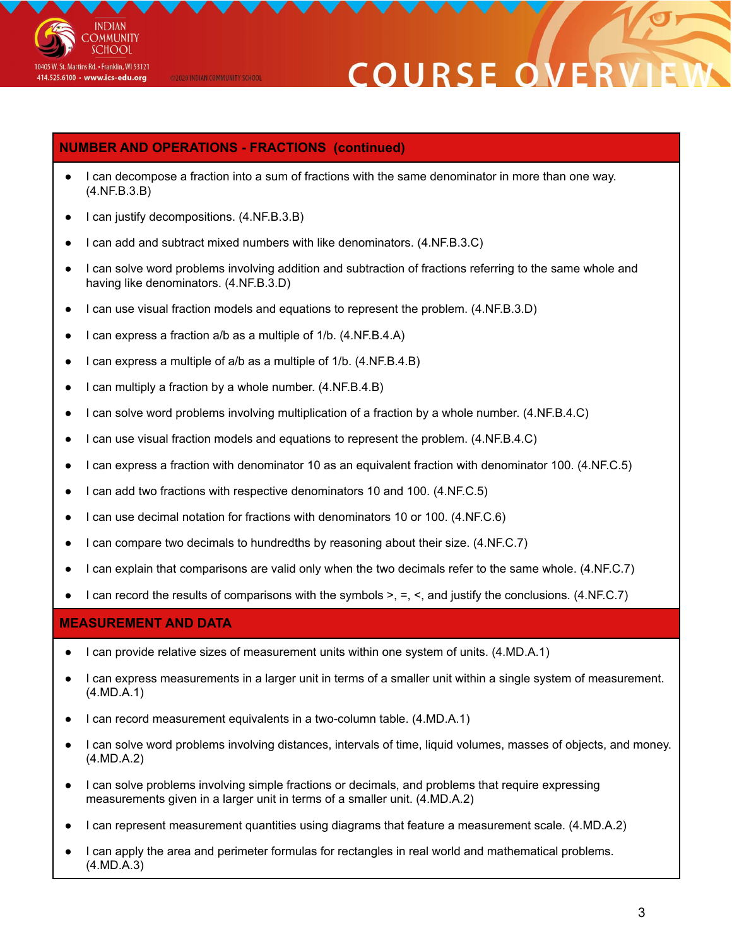

@2020 INDIAN COMMUNITY SCHOOL

# **COURSE OF**

#### **NUMBER AND OPERATIONS - FRACTIONS (continued)**

- I can decompose a fraction into a sum of fractions with the same denominator in more than one way. (4.NF.B.3.B)
- I can justify decompositions. (4.NF.B.3.B)
- I can add and subtract mixed numbers with like denominators. (4.NF.B.3.C)
- I can solve word problems involving addition and subtraction of fractions referring to the same whole and having like denominators. (4.NF.B.3.D)
- I can use visual fraction models and equations to represent the problem. (4.NF.B.3.D)
- I can express a fraction a/b as a multiple of 1/b. (4.NF.B.4.A)
- I can express a multiple of a/b as a multiple of 1/b. (4.NF.B.4.B)
- I can multiply a fraction by a whole number. (4.NF.B.4.B)
- I can solve word problems involving multiplication of a fraction by a whole number. (4.NF.B.4.C)
- I can use visual fraction models and equations to represent the problem. (4.NF.B.4.C)
- I can express a fraction with denominator 10 as an equivalent fraction with denominator 100. (4.NF.C.5)
- I can add two fractions with respective denominators 10 and 100. (4.NF.C.5)
- I can use decimal notation for fractions with denominators 10 or 100. (4.NF.C.6)
- I can compare two decimals to hundredths by reasoning about their size. (4.NF.C.7)
- I can explain that comparisons are valid only when the two decimals refer to the same whole. (4.NF.C.7)
- I can record the results of comparisons with the symbols  $>$ ,  $=$ ,  $\lt$ , and justify the conclusions. (4.NF.C.7)

#### **MEASUREMENT AND DATA**

- I can provide relative sizes of measurement units within one system of units. (4.MD.A.1)
- I can express measurements in a larger unit in terms of a smaller unit within a single system of measurement. (4.MD.A.1)
- I can record measurement equivalents in a two-column table. (4.MD.A.1)
- I can solve word problems involving distances, intervals of time, liquid volumes, masses of objects, and money. (4.MD.A.2)
- I can solve problems involving simple fractions or decimals, and problems that require expressing measurements given in a larger unit in terms of a smaller unit. (4.MD.A.2)
- I can represent measurement quantities using diagrams that feature a measurement scale. (4.MD.A.2)
- I can apply the area and perimeter formulas for rectangles in real world and mathematical problems. (4.MD.A.3)